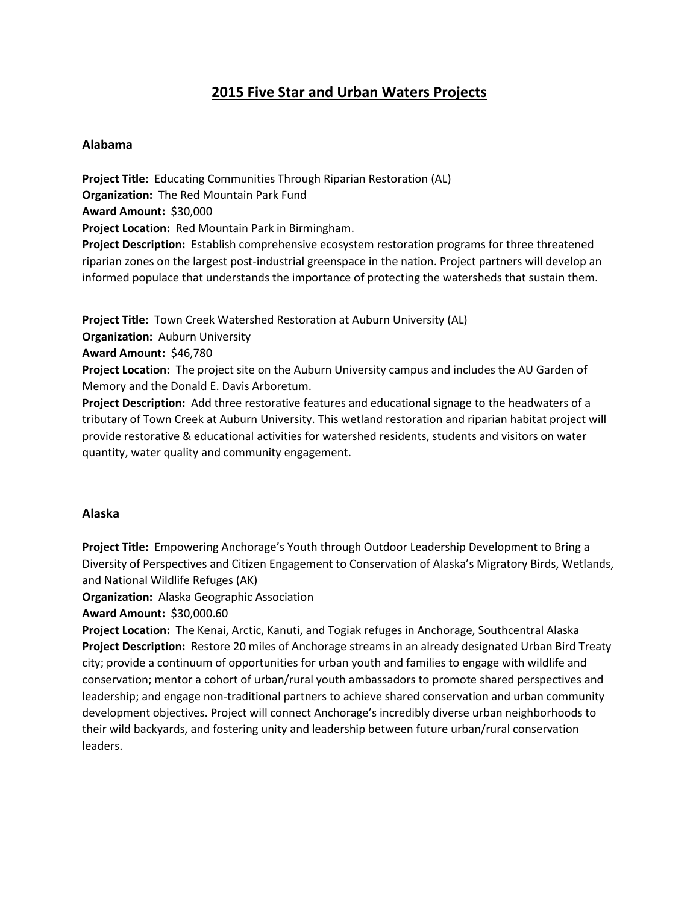# **2015 Five Star and Urban Waters Projects**

# **Alabama**

**Project Title:** Educating Communities Through Riparian Restoration (AL) **Organization:** The Red Mountain Park Fund **Award Amount:** \$30,000 **Project Location:** Red Mountain Park in Birmingham. **Project Description:** Establish comprehensive ecosystem restoration programs for three threatened riparian zones on the largest post-industrial greenspace in the nation. Project partners will develop an informed populace that understands the importance of protecting the watersheds that sustain them.

**Project Title:** Town Creek Watershed Restoration at Auburn University (AL)

**Organization:** Auburn University

**Award Amount:** \$46,780

**Project Location:** The project site on the Auburn University campus and includes the AU Garden of Memory and the Donald E. Davis Arboretum.

**Project Description:** Add three restorative features and educational signage to the headwaters of a tributary of Town Creek at Auburn University. This wetland restoration and riparian habitat project will provide restorative & educational activities for watershed residents, students and visitors on water quantity, water quality and community engagement.

# **Alaska**

**Project Title:** Empowering Anchorage's Youth through Outdoor Leadership Development to Bring a Diversity of Perspectives and Citizen Engagement to Conservation of Alaska's Migratory Birds, Wetlands, and National Wildlife Refuges (AK)

**Organization:** Alaska Geographic Association

**Award Amount:** \$30,000.60

**Project Location:** The Kenai, Arctic, Kanuti, and Togiak refuges in Anchorage, Southcentral Alaska **Project Description:** Restore 20 miles of Anchorage streams in an already designated Urban Bird Treaty city; provide a continuum of opportunities for urban youth and families to engage with wildlife and conservation; mentor a cohort of urban/rural youth ambassadors to promote shared perspectives and leadership; and engage non-traditional partners to achieve shared conservation and urban community development objectives. Project will connect Anchorage's incredibly diverse urban neighborhoods to their wild backyards, and fostering unity and leadership between future urban/rural conservation leaders.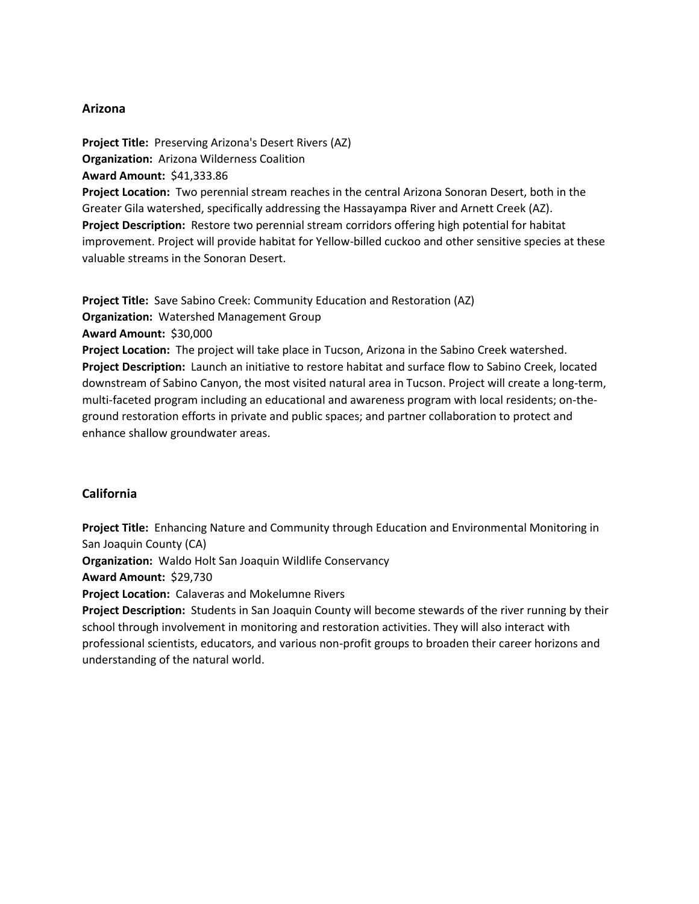### **Arizona**

**Project Title:** Preserving Arizona's Desert Rivers (AZ) **Organization:** Arizona Wilderness Coalition **Award Amount:** \$41,333.86 **Project Location:** Two perennial stream reaches in the central Arizona Sonoran Desert, both in the Greater Gila watershed, specifically addressing the Hassayampa River and Arnett Creek (AZ). **Project Description:** Restore two perennial stream corridors offering high potential for habitat

improvement. Project will provide habitat for Yellow-billed cuckoo and other sensitive species at these valuable streams in the Sonoran Desert.

**Project Title:** Save Sabino Creek: Community Education and Restoration (AZ) **Organization:** Watershed Management Group **Award Amount:** \$30,000 **Project Location:** The project will take place in Tucson, Arizona in the Sabino Creek watershed. **Project Description:** Launch an initiative to restore habitat and surface flow to Sabino Creek, located downstream of Sabino Canyon, the most visited natural area in Tucson. Project will create a long-term, multi-faceted program including an educational and awareness program with local residents; on-theground restoration efforts in private and public spaces; and partner collaboration to protect and enhance shallow groundwater areas.

# **California**

**Project Title:** Enhancing Nature and Community through Education and Environmental Monitoring in San Joaquin County (CA)

**Organization:** Waldo Holt San Joaquin Wildlife Conservancy

**Award Amount:** \$29,730

**Project Location:** Calaveras and Mokelumne Rivers

**Project Description:** Students in San Joaquin County will become stewards of the river running by their school through involvement in monitoring and restoration activities. They will also interact with professional scientists, educators, and various non-profit groups to broaden their career horizons and understanding of the natural world.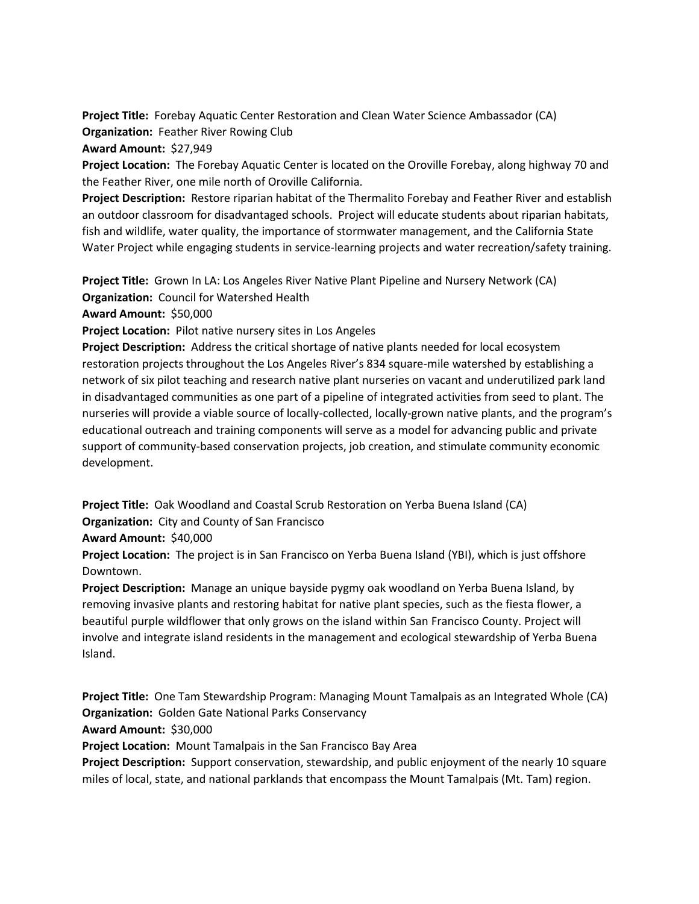**Project Title:** Forebay Aquatic Center Restoration and Clean Water Science Ambassador (CA) **Organization:** Feather River Rowing Club

**Award Amount:** \$27,949

**Project Location:** The Forebay Aquatic Center is located on the Oroville Forebay, along highway 70 and the Feather River, one mile north of Oroville California.

**Project Description:** Restore riparian habitat of the Thermalito Forebay and Feather River and establish an outdoor classroom for disadvantaged schools. Project will educate students about riparian habitats, fish and wildlife, water quality, the importance of stormwater management, and the California State Water Project while engaging students in service-learning projects and water recreation/safety training.

**Project Title:** Grown In LA: Los Angeles River Native Plant Pipeline and Nursery Network (CA) **Organization:** Council for Watershed Health

**Award Amount:** \$50,000

**Project Location:** Pilot native nursery sites in Los Angeles

**Project Description:** Address the critical shortage of native plants needed for local ecosystem restoration projects throughout the Los Angeles River's 834 square-mile watershed by establishing a network of six pilot teaching and research native plant nurseries on vacant and underutilized park land in disadvantaged communities as one part of a pipeline of integrated activities from seed to plant. The nurseries will provide a viable source of locally-collected, locally-grown native plants, and the program's educational outreach and training components will serve as a model for advancing public and private support of community-based conservation projects, job creation, and stimulate community economic development.

**Project Title:** Oak Woodland and Coastal Scrub Restoration on Yerba Buena Island (CA) **Organization:** City and County of San Francisco

**Award Amount:** \$40,000

**Project Location:** The project is in San Francisco on Yerba Buena Island (YBI), which is just offshore Downtown.

**Project Description:** Manage an unique bayside pygmy oak woodland on Yerba Buena Island, by removing invasive plants and restoring habitat for native plant species, such as the fiesta flower, a beautiful purple wildflower that only grows on the island within San Francisco County. Project will involve and integrate island residents in the management and ecological stewardship of Yerba Buena Island.

**Project Title:** One Tam Stewardship Program: Managing Mount Tamalpais as an Integrated Whole (CA) **Organization:** Golden Gate National Parks Conservancy

**Award Amount:** \$30,000

**Project Location:** Mount Tamalpais in the San Francisco Bay Area

**Project Description:** Support conservation, stewardship, and public enjoyment of the nearly 10 square miles of local, state, and national parklands that encompass the Mount Tamalpais (Mt. Tam) region.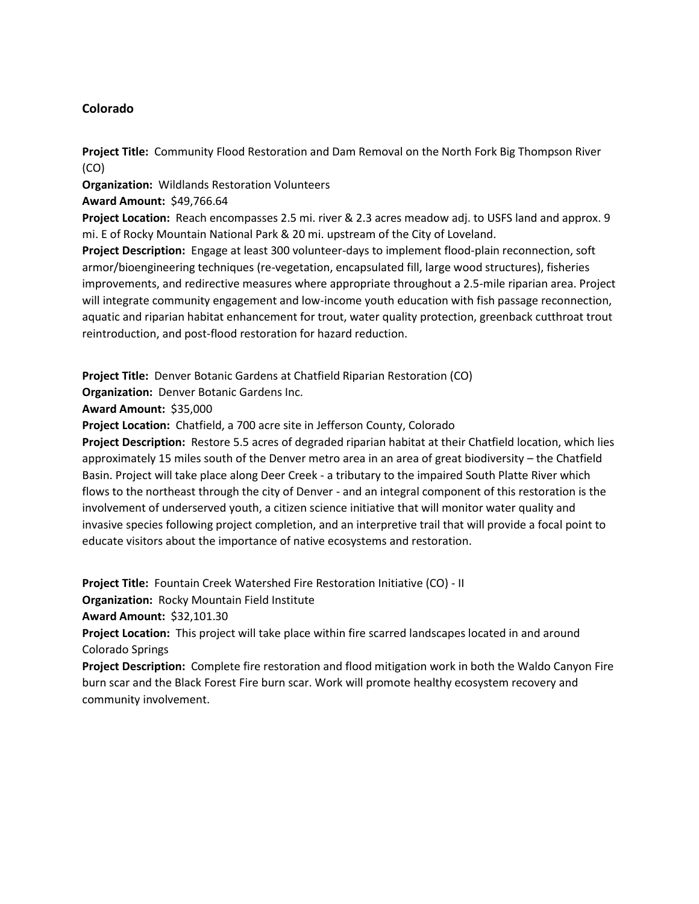# **Colorado**

**Project Title:** Community Flood Restoration and Dam Removal on the North Fork Big Thompson River (CO)

**Organization:** Wildlands Restoration Volunteers

**Award Amount:** \$49,766.64

**Project Location:** Reach encompasses 2.5 mi. river & 2.3 acres meadow adj. to USFS land and approx. 9 mi. E of Rocky Mountain National Park & 20 mi. upstream of the City of Loveland.

**Project Description:** Engage at least 300 volunteer-days to implement flood-plain reconnection, soft armor/bioengineering techniques (re-vegetation, encapsulated fill, large wood structures), fisheries improvements, and redirective measures where appropriate throughout a 2.5-mile riparian area. Project will integrate community engagement and low-income youth education with fish passage reconnection, aquatic and riparian habitat enhancement for trout, water quality protection, greenback cutthroat trout reintroduction, and post-flood restoration for hazard reduction.

**Project Title:** Denver Botanic Gardens at Chatfield Riparian Restoration (CO)

**Organization:** Denver Botanic Gardens Inc.

**Award Amount:** \$35,000

**Project Location:** Chatfield, a 700 acre site in Jefferson County, Colorado

**Project Description:** Restore 5.5 acres of degraded riparian habitat at their Chatfield location, which lies approximately 15 miles south of the Denver metro area in an area of great biodiversity – the Chatfield Basin. Project will take place along Deer Creek - a tributary to the impaired South Platte River which flows to the northeast through the city of Denver - and an integral component of this restoration is the involvement of underserved youth, a citizen science initiative that will monitor water quality and invasive species following project completion, and an interpretive trail that will provide a focal point to educate visitors about the importance of native ecosystems and restoration.

**Project Title:** Fountain Creek Watershed Fire Restoration Initiative (CO) - II

**Organization:** Rocky Mountain Field Institute

**Award Amount:** \$32,101.30

**Project Location:** This project will take place within fire scarred landscapes located in and around Colorado Springs

**Project Description:** Complete fire restoration and flood mitigation work in both the Waldo Canyon Fire burn scar and the Black Forest Fire burn scar. Work will promote healthy ecosystem recovery and community involvement.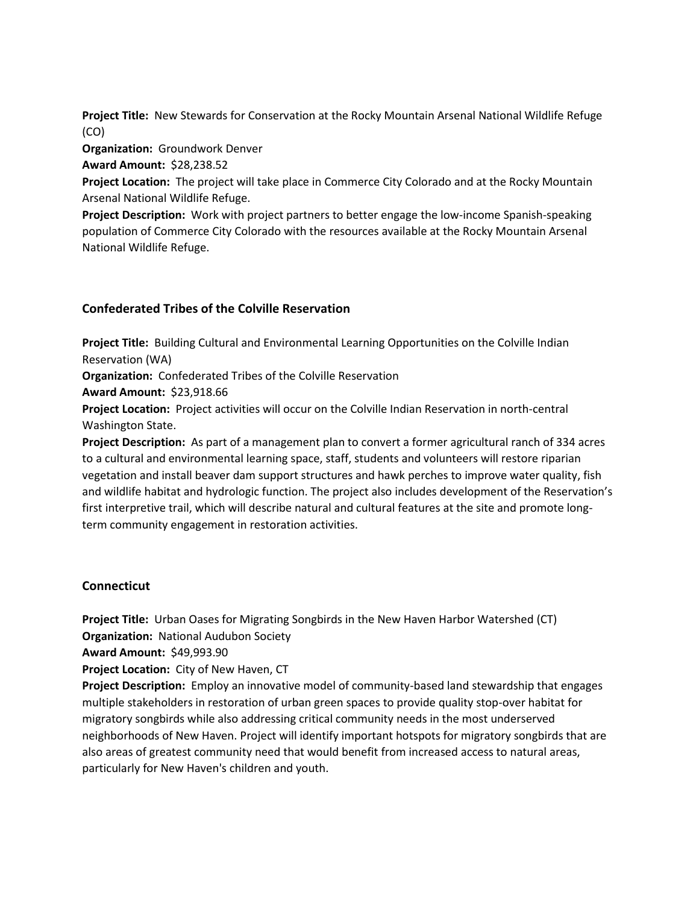**Project Title:** New Stewards for Conservation at the Rocky Mountain Arsenal National Wildlife Refuge (CO)

**Organization:** Groundwork Denver

**Award Amount:** \$28,238.52

**Project Location:** The project will take place in Commerce City Colorado and at the Rocky Mountain Arsenal National Wildlife Refuge.

**Project Description:** Work with project partners to better engage the low-income Spanish-speaking population of Commerce City Colorado with the resources available at the Rocky Mountain Arsenal National Wildlife Refuge.

### **Confederated Tribes of the Colville Reservation**

**Project Title:** Building Cultural and Environmental Learning Opportunities on the Colville Indian Reservation (WA)

**Organization:** Confederated Tribes of the Colville Reservation

**Award Amount:** \$23,918.66

**Project Location:** Project activities will occur on the Colville Indian Reservation in north-central Washington State.

**Project Description:** As part of a management plan to convert a former agricultural ranch of 334 acres to a cultural and environmental learning space, staff, students and volunteers will restore riparian vegetation and install beaver dam support structures and hawk perches to improve water quality, fish and wildlife habitat and hydrologic function. The project also includes development of the Reservation's first interpretive trail, which will describe natural and cultural features at the site and promote longterm community engagement in restoration activities.

#### **Connecticut**

**Project Title:** Urban Oases for Migrating Songbirds in the New Haven Harbor Watershed (CT) **Organization:** National Audubon Society

**Award Amount:** \$49,993.90

**Project Location:** City of New Haven, CT

**Project Description:** Employ an innovative model of community-based land stewardship that engages multiple stakeholders in restoration of urban green spaces to provide quality stop-over habitat for migratory songbirds while also addressing critical community needs in the most underserved neighborhoods of New Haven. Project will identify important hotspots for migratory songbirds that are also areas of greatest community need that would benefit from increased access to natural areas, particularly for New Haven's children and youth.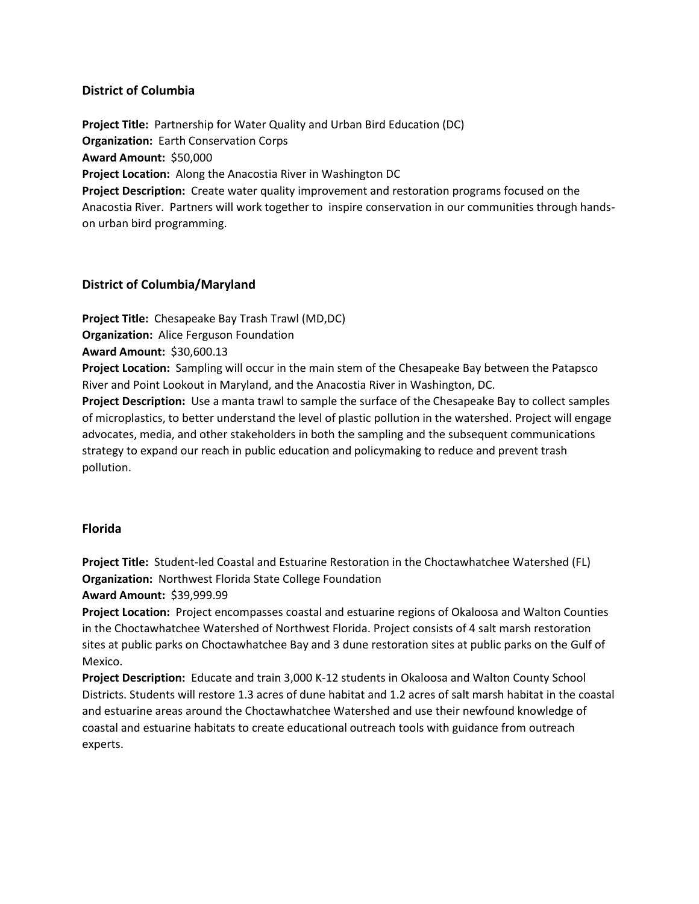# **District of Columbia**

**Project Title:** Partnership for Water Quality and Urban Bird Education (DC) **Organization:** Earth Conservation Corps **Award Amount:** \$50,000 **Project Location:** Along the Anacostia River in Washington DC **Project Description:** Create water quality improvement and restoration programs focused on the Anacostia River. Partners will work together to inspire conservation in our communities through handson urban bird programming.

### **District of Columbia/Maryland**

**Project Title:** Chesapeake Bay Trash Trawl (MD,DC)

**Organization:** Alice Ferguson Foundation

**Award Amount:** \$30,600.13

**Project Location:** Sampling will occur in the main stem of the Chesapeake Bay between the Patapsco River and Point Lookout in Maryland, and the Anacostia River in Washington, DC.

**Project Description:** Use a manta trawl to sample the surface of the Chesapeake Bay to collect samples of microplastics, to better understand the level of plastic pollution in the watershed. Project will engage advocates, media, and other stakeholders in both the sampling and the subsequent communications strategy to expand our reach in public education and policymaking to reduce and prevent trash pollution.

# **Florida**

**Project Title:** Student-led Coastal and Estuarine Restoration in the Choctawhatchee Watershed (FL) **Organization:** Northwest Florida State College Foundation

**Award Amount:** \$39,999.99

**Project Location:** Project encompasses coastal and estuarine regions of Okaloosa and Walton Counties in the Choctawhatchee Watershed of Northwest Florida. Project consists of 4 salt marsh restoration sites at public parks on Choctawhatchee Bay and 3 dune restoration sites at public parks on the Gulf of Mexico.

**Project Description:** Educate and train 3,000 K-12 students in Okaloosa and Walton County School Districts. Students will restore 1.3 acres of dune habitat and 1.2 acres of salt marsh habitat in the coastal and estuarine areas around the Choctawhatchee Watershed and use their newfound knowledge of coastal and estuarine habitats to create educational outreach tools with guidance from outreach experts.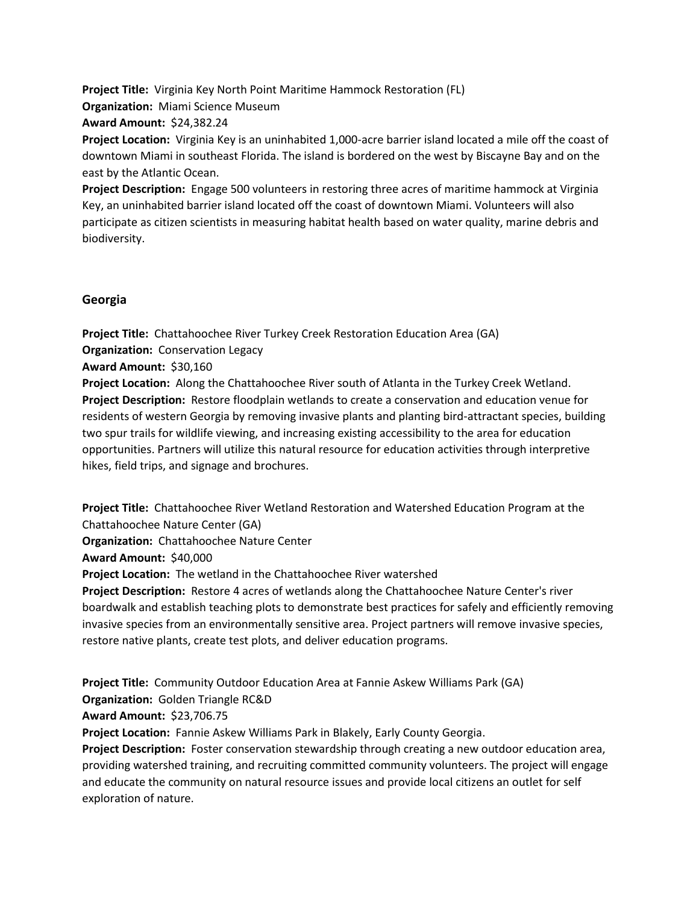**Project Title:** Virginia Key North Point Maritime Hammock Restoration (FL) **Organization:** Miami Science Museum

**Award Amount:** \$24,382.24

**Project Location:** Virginia Key is an uninhabited 1,000-acre barrier island located a mile off the coast of downtown Miami in southeast Florida. The island is bordered on the west by Biscayne Bay and on the east by the Atlantic Ocean.

**Project Description:** Engage 500 volunteers in restoring three acres of maritime hammock at Virginia Key, an uninhabited barrier island located off the coast of downtown Miami. Volunteers will also participate as citizen scientists in measuring habitat health based on water quality, marine debris and biodiversity.

### **Georgia**

**Project Title:** Chattahoochee River Turkey Creek Restoration Education Area (GA)

**Organization:** Conservation Legacy

**Award Amount:** \$30,160

**Project Location:** Along the Chattahoochee River south of Atlanta in the Turkey Creek Wetland. **Project Description:** Restore floodplain wetlands to create a conservation and education venue for residents of western Georgia by removing invasive plants and planting bird-attractant species, building two spur trails for wildlife viewing, and increasing existing accessibility to the area for education opportunities. Partners will utilize this natural resource for education activities through interpretive hikes, field trips, and signage and brochures.

**Project Title:** Chattahoochee River Wetland Restoration and Watershed Education Program at the Chattahoochee Nature Center (GA)

**Organization:** Chattahoochee Nature Center

**Award Amount:** \$40,000

**Project Location:** The wetland in the Chattahoochee River watershed

**Project Description:** Restore 4 acres of wetlands along the Chattahoochee Nature Center's river boardwalk and establish teaching plots to demonstrate best practices for safely and efficiently removing invasive species from an environmentally sensitive area. Project partners will remove invasive species, restore native plants, create test plots, and deliver education programs.

**Project Title:** Community Outdoor Education Area at Fannie Askew Williams Park (GA) **Organization:** Golden Triangle RC&D **Award Amount:** \$23,706.75 **Project Location:** Fannie Askew Williams Park in Blakely, Early County Georgia. **Project Description:** Foster conservation stewardship through creating a new outdoor education area, providing watershed training, and recruiting committed community volunteers. The project will engage and educate the community on natural resource issues and provide local citizens an outlet for self exploration of nature.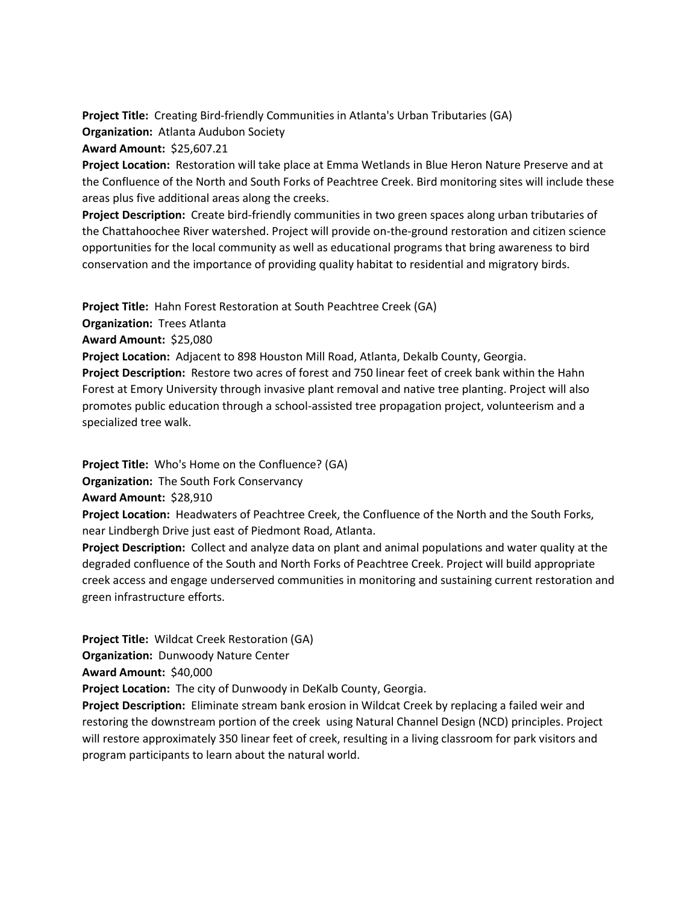**Project Title:** Creating Bird-friendly Communities in Atlanta's Urban Tributaries (GA) **Organization:** Atlanta Audubon Society **Award Amount:** \$25,607.21

**Project Location:** Restoration will take place at Emma Wetlands in Blue Heron Nature Preserve and at the Confluence of the North and South Forks of Peachtree Creek. Bird monitoring sites will include these areas plus five additional areas along the creeks.

**Project Description:** Create bird-friendly communities in two green spaces along urban tributaries of the Chattahoochee River watershed. Project will provide on-the-ground restoration and citizen science opportunities for the local community as well as educational programs that bring awareness to bird conservation and the importance of providing quality habitat to residential and migratory birds.

**Project Title:** Hahn Forest Restoration at South Peachtree Creek (GA)

**Organization:** Trees Atlanta

**Award Amount:** \$25,080

**Project Location:** Adjacent to 898 Houston Mill Road, Atlanta, Dekalb County, Georgia.

**Project Description:** Restore two acres of forest and 750 linear feet of creek bank within the Hahn Forest at Emory University through invasive plant removal and native tree planting. Project will also promotes public education through a school-assisted tree propagation project, volunteerism and a specialized tree walk.

**Project Title:** Who's Home on the Confluence? (GA)

**Organization:** The South Fork Conservancy

**Award Amount:** \$28,910

**Project Location:** Headwaters of Peachtree Creek, the Confluence of the North and the South Forks, near Lindbergh Drive just east of Piedmont Road, Atlanta.

**Project Description:** Collect and analyze data on plant and animal populations and water quality at the degraded confluence of the South and North Forks of Peachtree Creek. Project will build appropriate creek access and engage underserved communities in monitoring and sustaining current restoration and green infrastructure efforts.

**Project Title:** Wildcat Creek Restoration (GA)

**Organization:** Dunwoody Nature Center

**Award Amount:** \$40,000

**Project Location:** The city of Dunwoody in DeKalb County, Georgia.

**Project Description:** Eliminate stream bank erosion in Wildcat Creek by replacing a failed weir and restoring the downstream portion of the creek using Natural Channel Design (NCD) principles. Project will restore approximately 350 linear feet of creek, resulting in a living classroom for park visitors and program participants to learn about the natural world.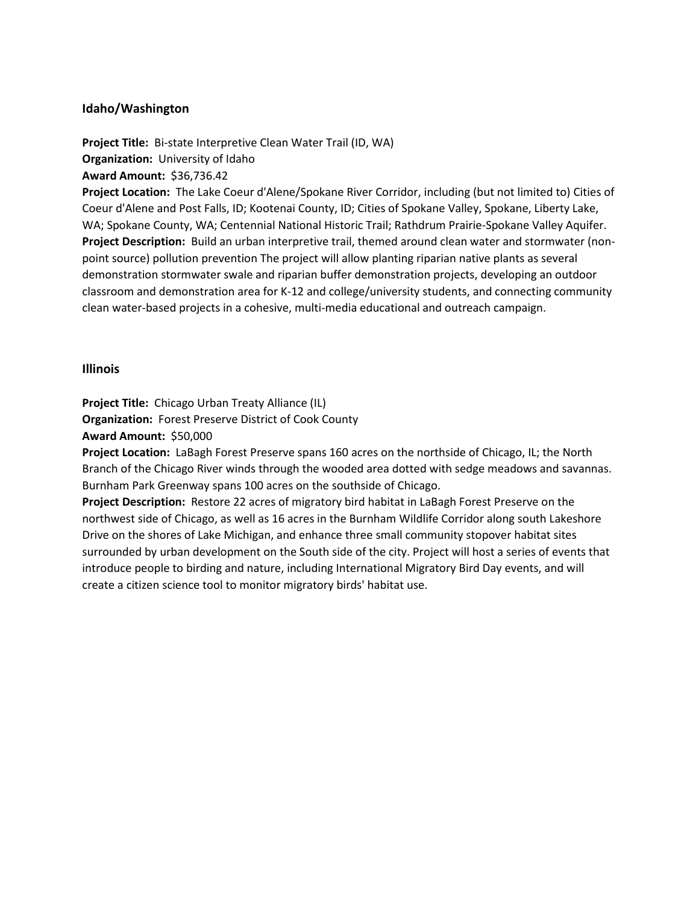### **Idaho/Washington**

**Project Title:** Bi-state Interpretive Clean Water Trail (ID, WA) **Organization:** University of Idaho

**Award Amount:** \$36,736.42

**Project Location:** The Lake Coeur d'Alene/Spokane River Corridor, including (but not limited to) Cities of Coeur d'Alene and Post Falls, ID; Kootenai County, ID; Cities of Spokane Valley, Spokane, Liberty Lake, WA; Spokane County, WA; Centennial National Historic Trail; Rathdrum Prairie-Spokane Valley Aquifer. **Project Description:** Build an urban interpretive trail, themed around clean water and stormwater (nonpoint source) pollution prevention The project will allow planting riparian native plants as several demonstration stormwater swale and riparian buffer demonstration projects, developing an outdoor classroom and demonstration area for K-12 and college/university students, and connecting community clean water-based projects in a cohesive, multi-media educational and outreach campaign.

#### **Illinois**

**Project Title:** Chicago Urban Treaty Alliance (IL)

**Organization:** Forest Preserve District of Cook County

**Award Amount:** \$50,000

**Project Location:** LaBagh Forest Preserve spans 160 acres on the northside of Chicago, IL; the North Branch of the Chicago River winds through the wooded area dotted with sedge meadows and savannas. Burnham Park Greenway spans 100 acres on the southside of Chicago.

**Project Description:** Restore 22 acres of migratory bird habitat in LaBagh Forest Preserve on the northwest side of Chicago, as well as 16 acres in the Burnham Wildlife Corridor along south Lakeshore Drive on the shores of Lake Michigan, and enhance three small community stopover habitat sites surrounded by urban development on the South side of the city. Project will host a series of events that introduce people to birding and nature, including International Migratory Bird Day events, and will create a citizen science tool to monitor migratory birds' habitat use.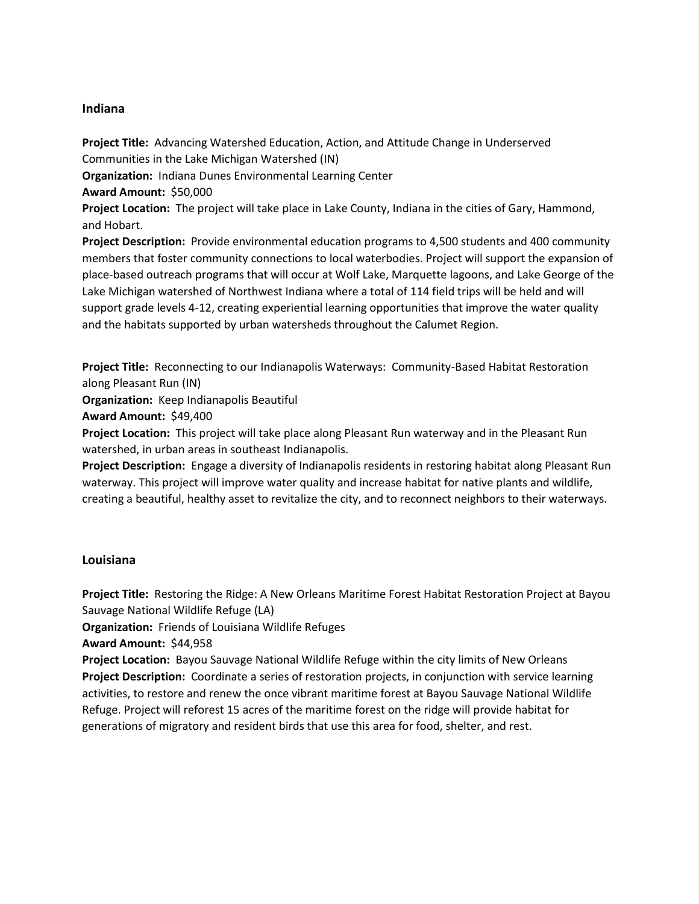### **Indiana**

**Project Title:** Advancing Watershed Education, Action, and Attitude Change in Underserved Communities in the Lake Michigan Watershed (IN) **Organization:** Indiana Dunes Environmental Learning Center **Award Amount:** \$50,000 **Project Location:** The project will take place in Lake County, Indiana in the cities of Gary, Hammond, and Hobart. **Project Description:** Provide environmental education programs to 4,500 students and 400 community members that foster community connections to local waterbodies. Project will support the expansion of place-based outreach programs that will occur at Wolf Lake, Marquette lagoons, and Lake George of the Lake Michigan watershed of Northwest Indiana where a total of 114 field trips will be held and will support grade levels 4-12, creating experiential learning opportunities that improve the water quality and the habitats supported by urban watersheds throughout the Calumet Region.

**Project Title:** Reconnecting to our Indianapolis Waterways: Community-Based Habitat Restoration along Pleasant Run (IN)

**Organization:** Keep Indianapolis Beautiful

**Award Amount:** \$49,400

**Project Location:** This project will take place along Pleasant Run waterway and in the Pleasant Run watershed, in urban areas in southeast Indianapolis.

**Project Description:** Engage a diversity of Indianapolis residents in restoring habitat along Pleasant Run waterway. This project will improve water quality and increase habitat for native plants and wildlife, creating a beautiful, healthy asset to revitalize the city, and to reconnect neighbors to their waterways.

# **Louisiana**

**Project Title:** Restoring the Ridge: A New Orleans Maritime Forest Habitat Restoration Project at Bayou Sauvage National Wildlife Refuge (LA)

**Organization:** Friends of Louisiana Wildlife Refuges

**Award Amount:** \$44,958

**Project Location:** Bayou Sauvage National Wildlife Refuge within the city limits of New Orleans **Project Description:** Coordinate a series of restoration projects, in conjunction with service learning activities, to restore and renew the once vibrant maritime forest at Bayou Sauvage National Wildlife Refuge. Project will reforest 15 acres of the maritime forest on the ridge will provide habitat for generations of migratory and resident birds that use this area for food, shelter, and rest.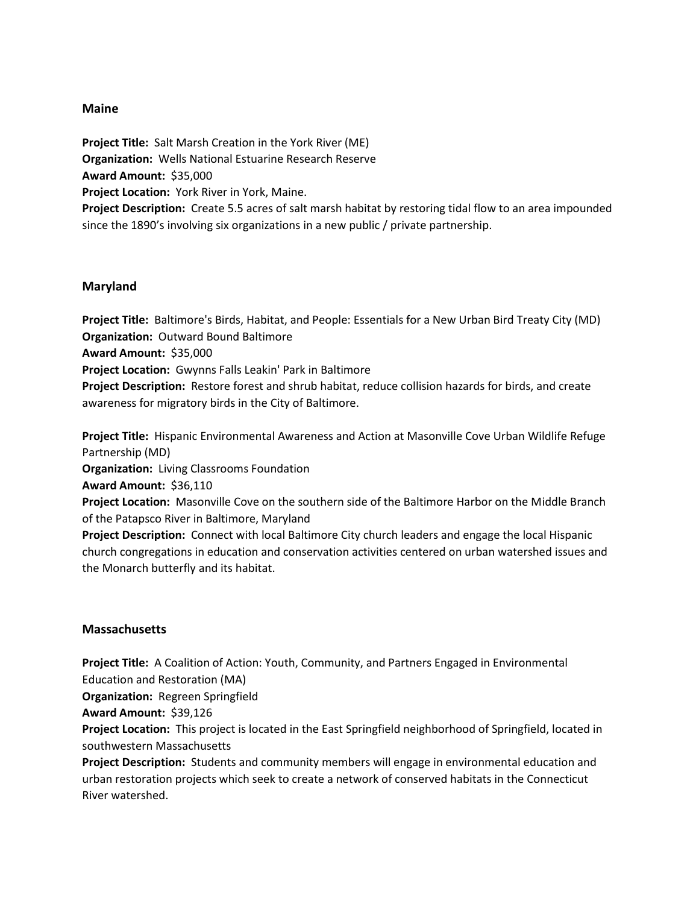### **Maine**

**Project Title:** Salt Marsh Creation in the York River (ME) **Organization:** Wells National Estuarine Research Reserve **Award Amount:** \$35,000 **Project Location:** York River in York, Maine. **Project Description:** Create 5.5 acres of salt marsh habitat by restoring tidal flow to an area impounded since the 1890's involving six organizations in a new public / private partnership.

#### **Maryland**

**Project Title:** Baltimore's Birds, Habitat, and People: Essentials for a New Urban Bird Treaty City (MD) **Organization:** Outward Bound Baltimore

**Award Amount:** \$35,000

**Project Location:** Gwynns Falls Leakin' Park in Baltimore

**Project Description:** Restore forest and shrub habitat, reduce collision hazards for birds, and create awareness for migratory birds in the City of Baltimore.

**Project Title:** Hispanic Environmental Awareness and Action at Masonville Cove Urban Wildlife Refuge Partnership (MD)

**Organization:** Living Classrooms Foundation

**Award Amount:** \$36,110

**Project Location:** Masonville Cove on the southern side of the Baltimore Harbor on the Middle Branch of the Patapsco River in Baltimore, Maryland

**Project Description:** Connect with local Baltimore City church leaders and engage the local Hispanic church congregations in education and conservation activities centered on urban watershed issues and the Monarch butterfly and its habitat.

#### **Massachusetts**

**Project Title:** A Coalition of Action: Youth, Community, and Partners Engaged in Environmental Education and Restoration (MA)

**Organization:** Regreen Springfield

**Award Amount:** \$39,126

**Project Location:** This project is located in the East Springfield neighborhood of Springfield, located in southwestern Massachusetts

**Project Description:** Students and community members will engage in environmental education and urban restoration projects which seek to create a network of conserved habitats in the Connecticut River watershed.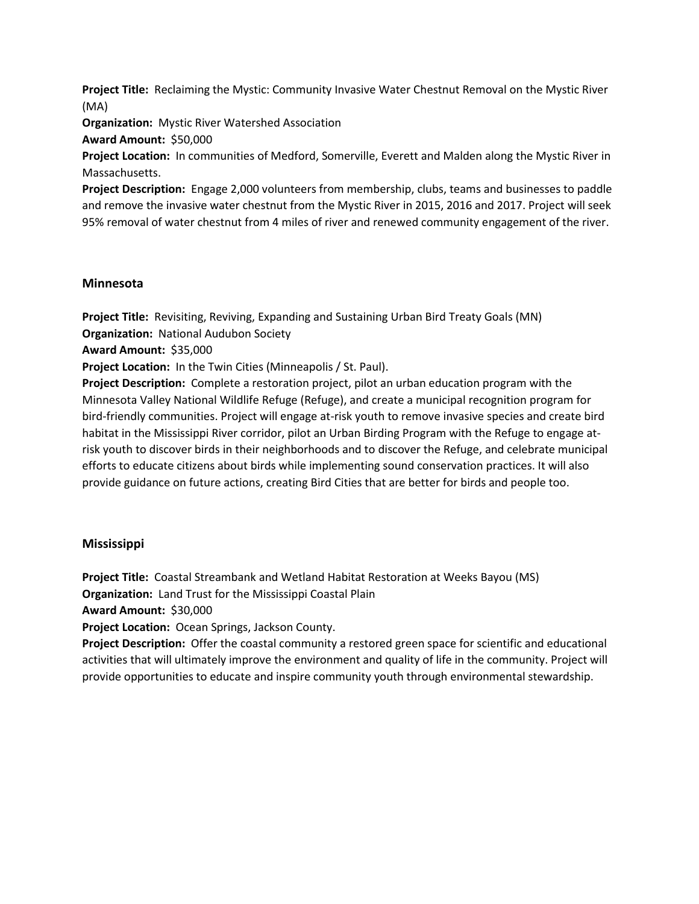**Project Title:** Reclaiming the Mystic: Community Invasive Water Chestnut Removal on the Mystic River (MA)

**Organization:** Mystic River Watershed Association

**Award Amount:** \$50,000

**Project Location:** In communities of Medford, Somerville, Everett and Malden along the Mystic River in Massachusetts.

**Project Description:** Engage 2,000 volunteers from membership, clubs, teams and businesses to paddle and remove the invasive water chestnut from the Mystic River in 2015, 2016 and 2017. Project will seek 95% removal of water chestnut from 4 miles of river and renewed community engagement of the river.

#### **Minnesota**

**Project Title:** Revisiting, Reviving, Expanding and Sustaining Urban Bird Treaty Goals (MN) **Organization:** National Audubon Society

**Award Amount:** \$35,000

**Project Location:** In the Twin Cities (Minneapolis / St. Paul).

**Project Description:** Complete a restoration project, pilot an urban education program with the Minnesota Valley National Wildlife Refuge (Refuge), and create a municipal recognition program for bird-friendly communities. Project will engage at-risk youth to remove invasive species and create bird habitat in the Mississippi River corridor, pilot an Urban Birding Program with the Refuge to engage atrisk youth to discover birds in their neighborhoods and to discover the Refuge, and celebrate municipal efforts to educate citizens about birds while implementing sound conservation practices. It will also provide guidance on future actions, creating Bird Cities that are better for birds and people too.

#### **Mississippi**

**Project Title:** Coastal Streambank and Wetland Habitat Restoration at Weeks Bayou (MS) **Organization:** Land Trust for the Mississippi Coastal Plain

**Award Amount:** \$30,000

**Project Location:** Ocean Springs, Jackson County.

**Project Description:** Offer the coastal community a restored green space for scientific and educational activities that will ultimately improve the environment and quality of life in the community. Project will provide opportunities to educate and inspire community youth through environmental stewardship.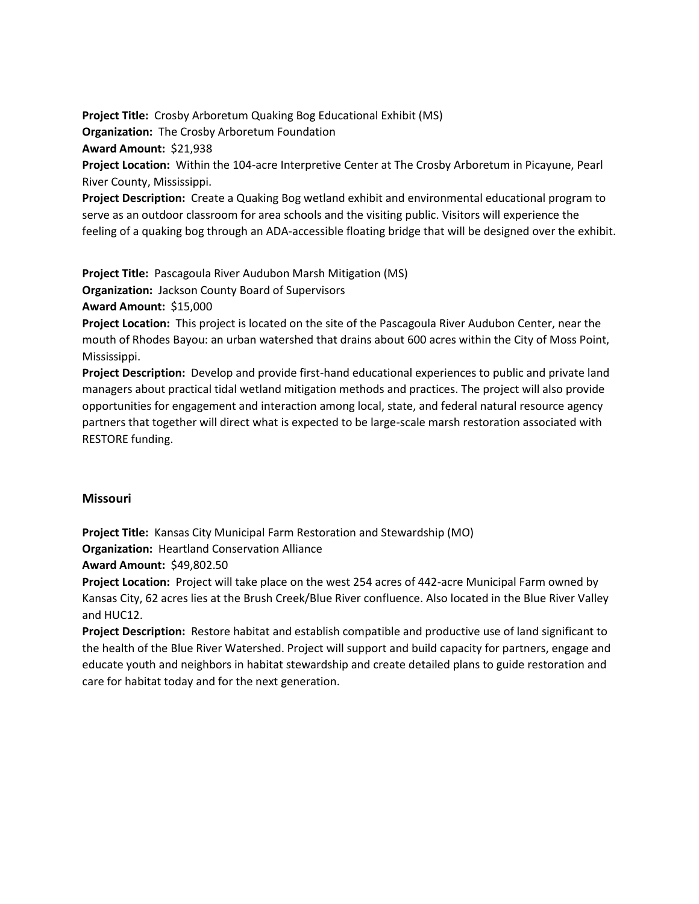**Project Title:** Crosby Arboretum Quaking Bog Educational Exhibit (MS)

**Organization:** The Crosby Arboretum Foundation

**Award Amount:** \$21,938

**Project Location:** Within the 104-acre Interpretive Center at The Crosby Arboretum in Picayune, Pearl River County, Mississippi.

**Project Description:** Create a Quaking Bog wetland exhibit and environmental educational program to serve as an outdoor classroom for area schools and the visiting public. Visitors will experience the feeling of a quaking bog through an ADA-accessible floating bridge that will be designed over the exhibit.

**Project Title:** Pascagoula River Audubon Marsh Mitigation (MS)

**Organization:** Jackson County Board of Supervisors

**Award Amount:** \$15,000

**Project Location:** This project is located on the site of the Pascagoula River Audubon Center, near the mouth of Rhodes Bayou: an urban watershed that drains about 600 acres within the City of Moss Point, Mississippi.

**Project Description:** Develop and provide first-hand educational experiences to public and private land managers about practical tidal wetland mitigation methods and practices. The project will also provide opportunities for engagement and interaction among local, state, and federal natural resource agency partners that together will direct what is expected to be large-scale marsh restoration associated with RESTORE funding.

# **Missouri**

**Project Title:** Kansas City Municipal Farm Restoration and Stewardship (MO)

**Organization:** Heartland Conservation Alliance

**Award Amount:** \$49,802.50

**Project Location:** Project will take place on the west 254 acres of 442-acre Municipal Farm owned by Kansas City, 62 acres lies at the Brush Creek/Blue River confluence. Also located in the Blue River Valley and HUC12.

**Project Description:** Restore habitat and establish compatible and productive use of land significant to the health of the Blue River Watershed. Project will support and build capacity for partners, engage and educate youth and neighbors in habitat stewardship and create detailed plans to guide restoration and care for habitat today and for the next generation.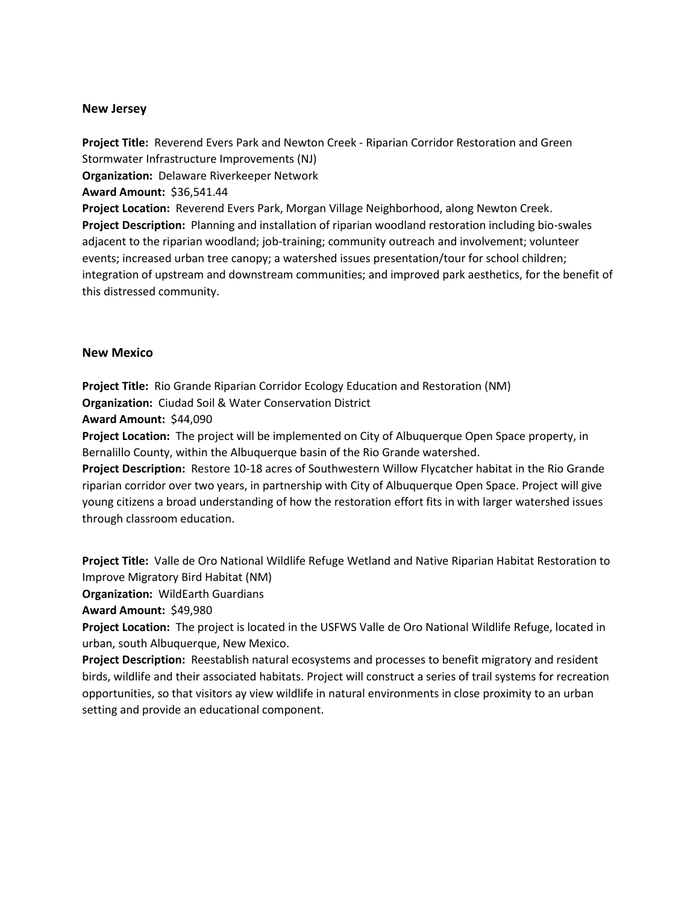#### **New Jersey**

**Project Title:** Reverend Evers Park and Newton Creek - Riparian Corridor Restoration and Green Stormwater Infrastructure Improvements (NJ) **Organization:** Delaware Riverkeeper Network

**Award Amount:** \$36,541.44

**Project Location:** Reverend Evers Park, Morgan Village Neighborhood, along Newton Creek. **Project Description:** Planning and installation of riparian woodland restoration including bio-swales adjacent to the riparian woodland; job-training; community outreach and involvement; volunteer events; increased urban tree canopy; a watershed issues presentation/tour for school children; integration of upstream and downstream communities; and improved park aesthetics, for the benefit of this distressed community.

#### **New Mexico**

**Project Title:** Rio Grande Riparian Corridor Ecology Education and Restoration (NM)

**Organization:** Ciudad Soil & Water Conservation District

**Award Amount:** \$44,090

**Project Location:** The project will be implemented on City of Albuquerque Open Space property, in Bernalillo County, within the Albuquerque basin of the Rio Grande watershed.

**Project Description:** Restore 10-18 acres of Southwestern Willow Flycatcher habitat in the Rio Grande riparian corridor over two years, in partnership with City of Albuquerque Open Space. Project will give young citizens a broad understanding of how the restoration effort fits in with larger watershed issues through classroom education.

**Project Title:** Valle de Oro National Wildlife Refuge Wetland and Native Riparian Habitat Restoration to Improve Migratory Bird Habitat (NM)

**Organization:** WildEarth Guardians

**Award Amount:** \$49,980

**Project Location:** The project is located in the USFWS Valle de Oro National Wildlife Refuge, located in urban, south Albuquerque, New Mexico.

**Project Description:** Reestablish natural ecosystems and processes to benefit migratory and resident birds, wildlife and their associated habitats. Project will construct a series of trail systems for recreation opportunities, so that visitors ay view wildlife in natural environments in close proximity to an urban setting and provide an educational component.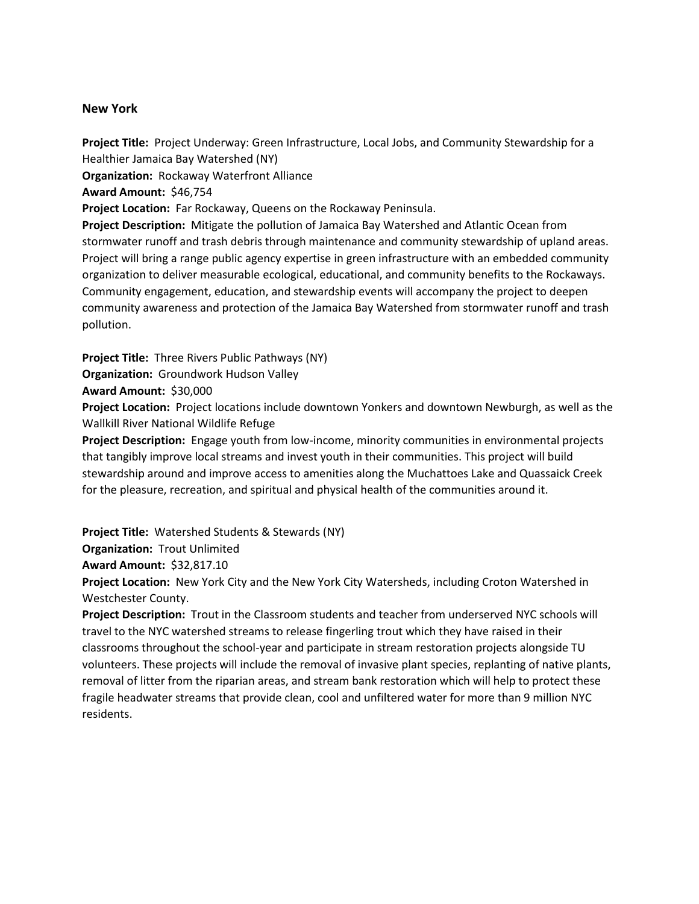#### **New York**

**Project Title:** Project Underway: Green Infrastructure, Local Jobs, and Community Stewardship for a Healthier Jamaica Bay Watershed (NY) **Organization:** Rockaway Waterfront Alliance **Award Amount:** \$46,754 **Project Location:** Far Rockaway, Queens on the Rockaway Peninsula. **Project Description:** Mitigate the pollution of Jamaica Bay Watershed and Atlantic Ocean from

stormwater runoff and trash debris through maintenance and community stewardship of upland areas. Project will bring a range public agency expertise in green infrastructure with an embedded community organization to deliver measurable ecological, educational, and community benefits to the Rockaways. Community engagement, education, and stewardship events will accompany the project to deepen community awareness and protection of the Jamaica Bay Watershed from stormwater runoff and trash pollution.

**Project Title:** Three Rivers Public Pathways (NY)

**Organization:** Groundwork Hudson Valley

**Award Amount:** \$30,000

**Project Location:** Project locations include downtown Yonkers and downtown Newburgh, as well as the Wallkill River National Wildlife Refuge

**Project Description:** Engage youth from low-income, minority communities in environmental projects that tangibly improve local streams and invest youth in their communities. This project will build stewardship around and improve access to amenities along the Muchattoes Lake and Quassaick Creek for the pleasure, recreation, and spiritual and physical health of the communities around it.

**Project Title:** Watershed Students & Stewards (NY)

**Organization:** Trout Unlimited

**Award Amount:** \$32,817.10

**Project Location:** New York City and the New York City Watersheds, including Croton Watershed in Westchester County.

**Project Description:** Trout in the Classroom students and teacher from underserved NYC schools will travel to the NYC watershed streams to release fingerling trout which they have raised in their classrooms throughout the school-year and participate in stream restoration projects alongside TU volunteers. These projects will include the removal of invasive plant species, replanting of native plants, removal of litter from the riparian areas, and stream bank restoration which will help to protect these fragile headwater streams that provide clean, cool and unfiltered water for more than 9 million NYC residents.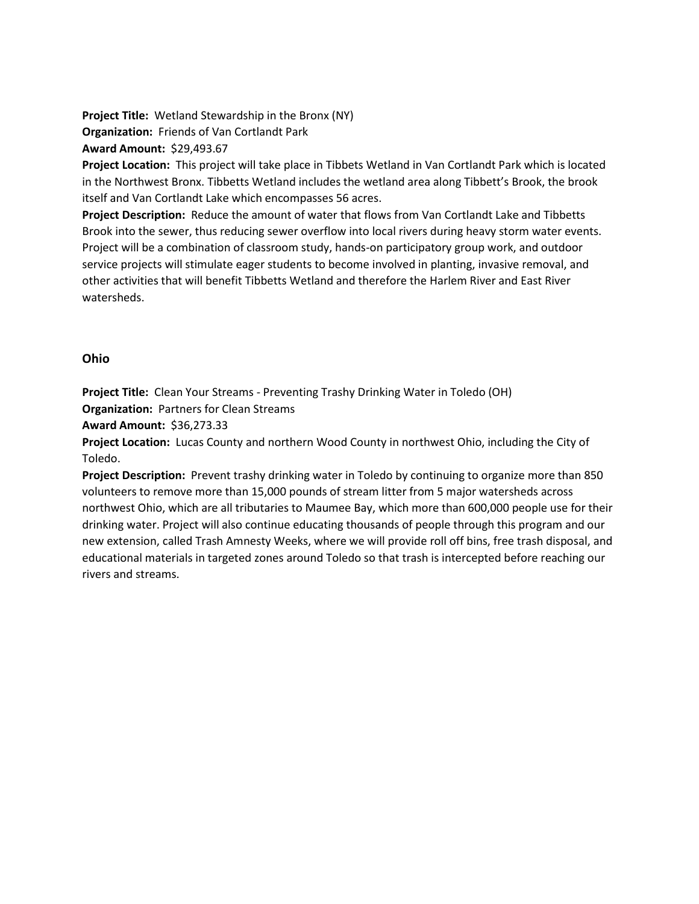**Project Title:** Wetland Stewardship in the Bronx (NY)

**Organization:** Friends of Van Cortlandt Park

**Award Amount:** \$29,493.67

**Project Location:** This project will take place in Tibbets Wetland in Van Cortlandt Park which is located in the Northwest Bronx. Tibbetts Wetland includes the wetland area along Tibbett's Brook, the brook itself and Van Cortlandt Lake which encompasses 56 acres.

**Project Description:** Reduce the amount of water that flows from Van Cortlandt Lake and Tibbetts Brook into the sewer, thus reducing sewer overflow into local rivers during heavy storm water events. Project will be a combination of classroom study, hands-on participatory group work, and outdoor service projects will stimulate eager students to become involved in planting, invasive removal, and other activities that will benefit Tibbetts Wetland and therefore the Harlem River and East River watersheds.

# **Ohio**

**Project Title:** Clean Your Streams - Preventing Trashy Drinking Water in Toledo (OH) **Organization:** Partners for Clean Streams

**Award Amount:** \$36,273.33

**Project Location:** Lucas County and northern Wood County in northwest Ohio, including the City of Toledo.

**Project Description:** Prevent trashy drinking water in Toledo by continuing to organize more than 850 volunteers to remove more than 15,000 pounds of stream litter from 5 major watersheds across northwest Ohio, which are all tributaries to Maumee Bay, which more than 600,000 people use for their drinking water. Project will also continue educating thousands of people through this program and our new extension, called Trash Amnesty Weeks, where we will provide roll off bins, free trash disposal, and educational materials in targeted zones around Toledo so that trash is intercepted before reaching our rivers and streams.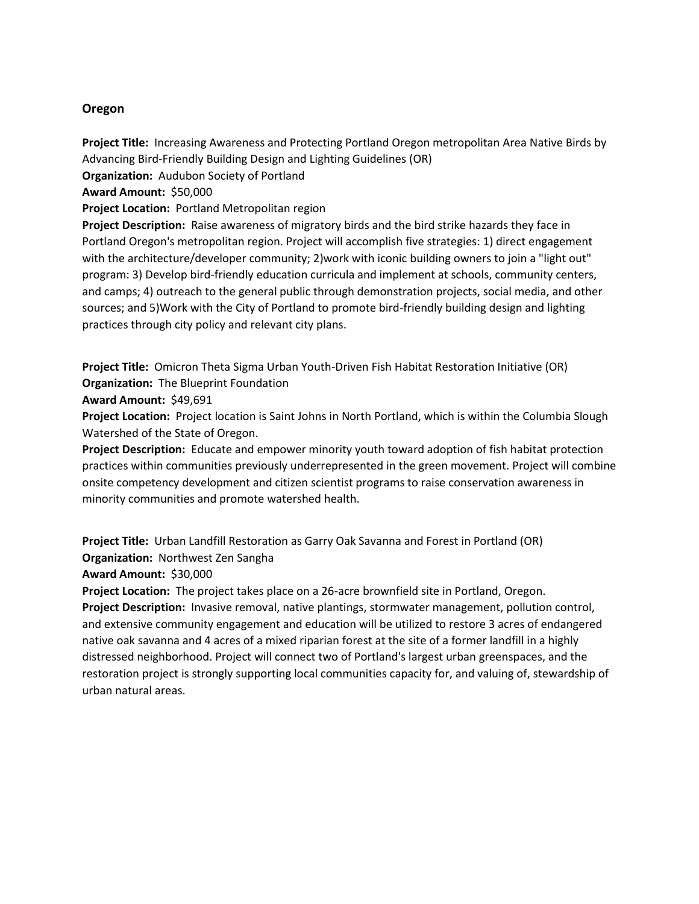## **Oregon**

**Project Title:** Increasing Awareness and Protecting Portland Oregon metropolitan Area Native Birds by Advancing Bird-Friendly Building Design and Lighting Guidelines (OR) **Organization:** Audubon Society of Portland **Award Amount:** \$50,000 **Project Location:** Portland Metropolitan region **Project Description:** Raise awareness of migratory birds and the bird strike hazards they face in

Portland Oregon's metropolitan region. Project will accomplish five strategies: 1) direct engagement with the architecture/developer community; 2)work with iconic building owners to join a "light out" program: 3) Develop bird-friendly education curricula and implement at schools, community centers, and camps; 4) outreach to the general public through demonstration projects, social media, and other sources; and 5)Work with the City of Portland to promote bird-friendly building design and lighting practices through city policy and relevant city plans.

**Project Title:** Omicron Theta Sigma Urban Youth-Driven Fish Habitat Restoration Initiative (OR) **Organization:** The Blueprint Foundation

**Award Amount:** \$49,691

**Project Location:** Project location is Saint Johns in North Portland, which is within the Columbia Slough Watershed of the State of Oregon.

**Project Description:** Educate and empower minority youth toward adoption of fish habitat protection practices within communities previously underrepresented in the green movement. Project will combine onsite competency development and citizen scientist programs to raise conservation awareness in minority communities and promote watershed health.

**Project Title:** Urban Landfill Restoration as Garry Oak Savanna and Forest in Portland (OR) **Organization:** Northwest Zen Sangha

**Award Amount:** \$30,000

**Project Location:** The project takes place on a 26-acre brownfield site in Portland, Oregon. **Project Description:** Invasive removal, native plantings, stormwater management, pollution control, and extensive community engagement and education will be utilized to restore 3 acres of endangered native oak savanna and 4 acres of a mixed riparian forest at the site of a former landfill in a highly distressed neighborhood. Project will connect two of Portland's largest urban greenspaces, and the restoration project is strongly supporting local communities capacity for, and valuing of, stewardship of urban natural areas.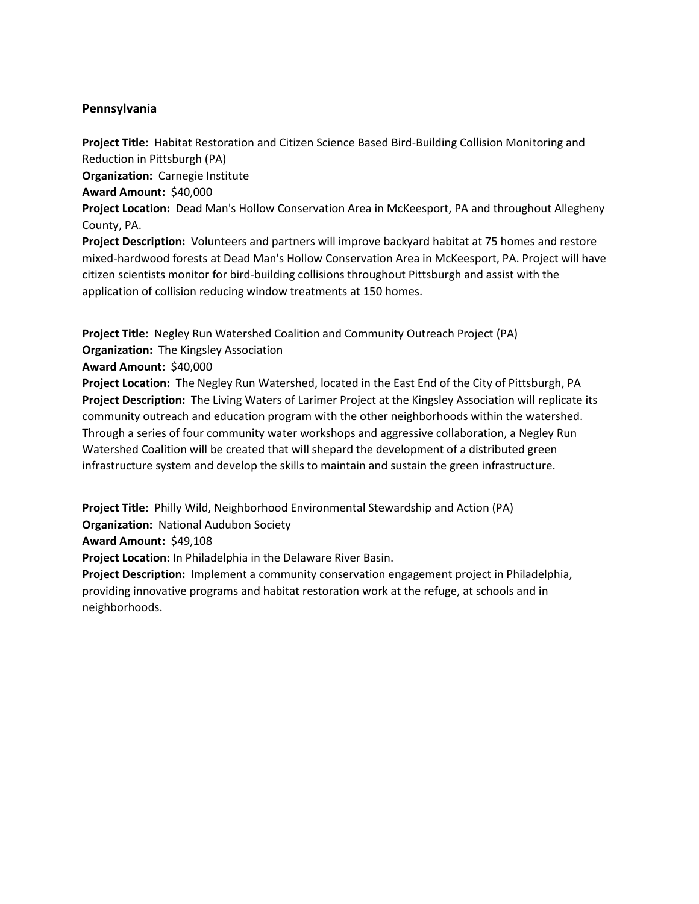# **Pennsylvania**

**Project Title:** Habitat Restoration and Citizen Science Based Bird-Building Collision Monitoring and Reduction in Pittsburgh (PA)

**Organization:** Carnegie Institute

**Award Amount:** \$40,000

**Project Location:** Dead Man's Hollow Conservation Area in McKeesport, PA and throughout Allegheny County, PA.

**Project Description:** Volunteers and partners will improve backyard habitat at 75 homes and restore mixed-hardwood forests at Dead Man's Hollow Conservation Area in McKeesport, PA. Project will have citizen scientists monitor for bird-building collisions throughout Pittsburgh and assist with the application of collision reducing window treatments at 150 homes.

**Project Title:** Negley Run Watershed Coalition and Community Outreach Project (PA) **Organization:** The Kingsley Association

**Award Amount:** \$40,000

**Project Location:** The Negley Run Watershed, located in the East End of the City of Pittsburgh, PA **Project Description:** The Living Waters of Larimer Project at the Kingsley Association will replicate its community outreach and education program with the other neighborhoods within the watershed. Through a series of four community water workshops and aggressive collaboration, a Negley Run Watershed Coalition will be created that will shepard the development of a distributed green infrastructure system and develop the skills to maintain and sustain the green infrastructure.

**Project Title:** Philly Wild, Neighborhood Environmental Stewardship and Action (PA)

**Organization:** National Audubon Society

**Award Amount:** \$49,108

**Project Location:** In Philadelphia in the Delaware River Basin.

**Project Description:** Implement a community conservation engagement project in Philadelphia, providing innovative programs and habitat restoration work at the refuge, at schools and in neighborhoods.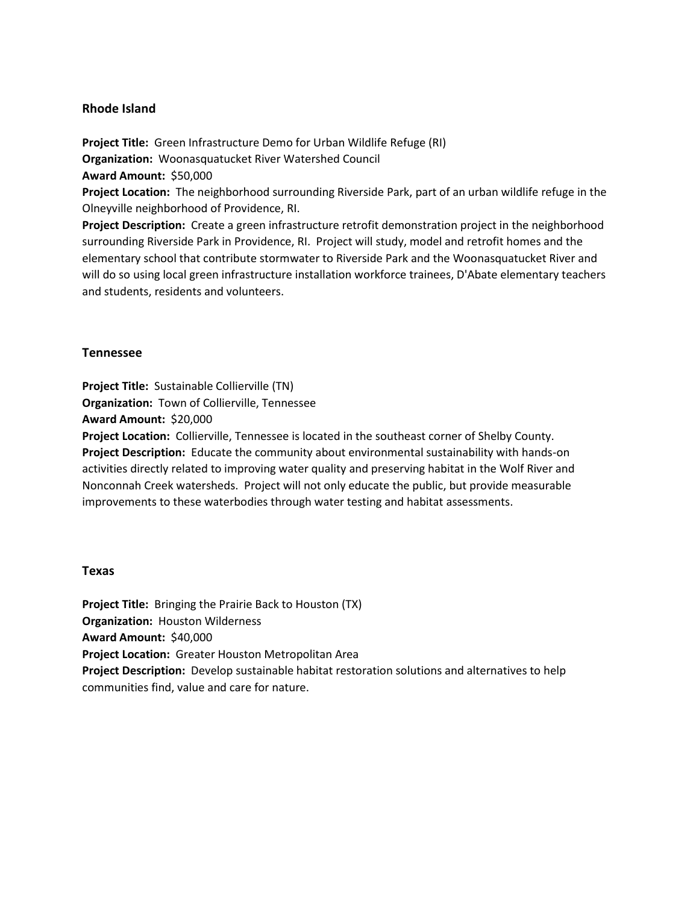### **Rhode Island**

**Project Title:** Green Infrastructure Demo for Urban Wildlife Refuge (RI) **Organization:** Woonasquatucket River Watershed Council **Award Amount:** \$50,000 **Project Location:** The neighborhood surrounding Riverside Park, part of an urban wildlife refuge in the Olneyville neighborhood of Providence, RI.

**Project Description:** Create a green infrastructure retrofit demonstration project in the neighborhood surrounding Riverside Park in Providence, RI. Project will study, model and retrofit homes and the elementary school that contribute stormwater to Riverside Park and the Woonasquatucket River and will do so using local green infrastructure installation workforce trainees, D'Abate elementary teachers and students, residents and volunteers.

#### **Tennessee**

**Project Title:** Sustainable Collierville (TN) **Organization:** Town of Collierville, Tennessee **Award Amount:** \$20,000 **Project Location:** Collierville, Tennessee is located in the southeast corner of Shelby County. **Project Description:** Educate the community about environmental sustainability with hands-on activities directly related to improving water quality and preserving habitat in the Wolf River and Nonconnah Creek watersheds. Project will not only educate the public, but provide measurable improvements to these waterbodies through water testing and habitat assessments.

#### **Texas**

**Project Title:** Bringing the Prairie Back to Houston (TX) **Organization:** Houston Wilderness **Award Amount:** \$40,000 **Project Location:** Greater Houston Metropolitan Area **Project Description:** Develop sustainable habitat restoration solutions and alternatives to help communities find, value and care for nature.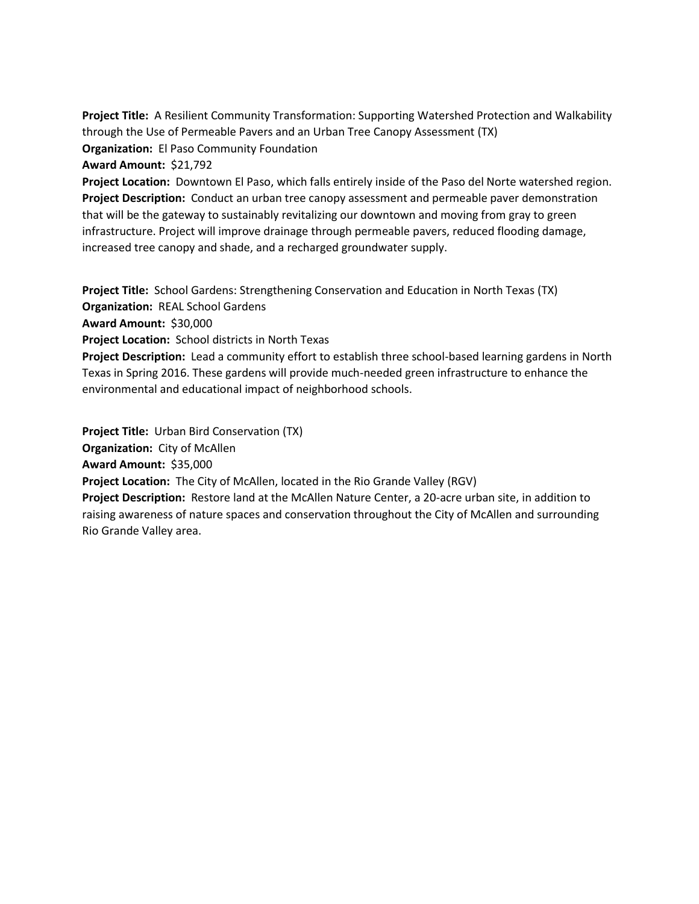**Project Title:** A Resilient Community Transformation: Supporting Watershed Protection and Walkability through the Use of Permeable Pavers and an Urban Tree Canopy Assessment (TX) **Organization:** El Paso Community Foundation

**Award Amount:** \$21,792

**Project Location:** Downtown El Paso, which falls entirely inside of the Paso del Norte watershed region. **Project Description:** Conduct an urban tree canopy assessment and permeable paver demonstration that will be the gateway to sustainably revitalizing our downtown and moving from gray to green infrastructure. Project will improve drainage through permeable pavers, reduced flooding damage, increased tree canopy and shade, and a recharged groundwater supply.

**Project Title:** School Gardens: Strengthening Conservation and Education in North Texas (TX) **Organization:** REAL School Gardens

**Award Amount:** \$30,000

**Project Location:** School districts in North Texas

**Project Description:** Lead a community effort to establish three school-based learning gardens in North Texas in Spring 2016. These gardens will provide much-needed green infrastructure to enhance the environmental and educational impact of neighborhood schools.

**Project Title:** Urban Bird Conservation (TX)

**Organization:** City of McAllen

**Award Amount:** \$35,000

**Project Location:** The City of McAllen, located in the Rio Grande Valley (RGV)

**Project Description:** Restore land at the McAllen Nature Center, a 20-acre urban site, in addition to raising awareness of nature spaces and conservation throughout the City of McAllen and surrounding Rio Grande Valley area.